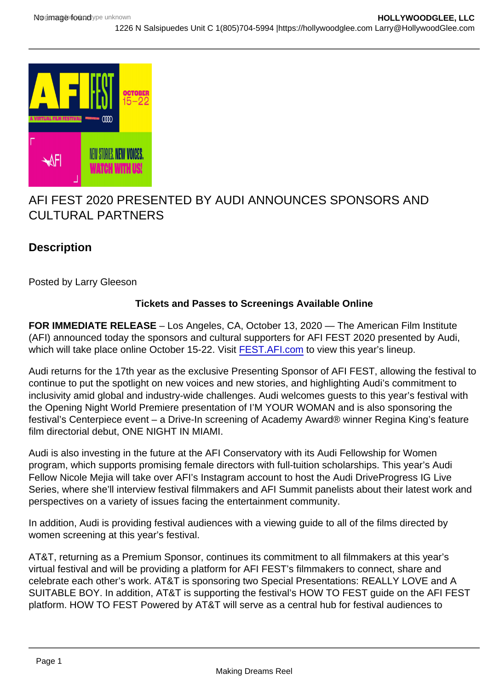# AFI FEST 2020 PRESENTED BY AUDI ANNOUNCES SPONSORS AND CULTURAL PARTNERS

**Description** 

Posted by Larry Gleeson

### Tickets and Passes to Screenings Available Online

FOR IMMEDIATE RELEASE – Los Angeles, CA, October 13, 2020 — The American Film Institute (AFI) announced today the sponsors and cultural supporters for AFI FEST 2020 presented by Audi, which will take place online October 15-22. Visit [FEST.AFI.com](https://fest.afi.com/) to view this year's lineup.

Audi returns for the 17th year as the exclusive Presenting Sponsor of AFI FEST, allowing the festival to continue to put the spotlight on new voices and new stories, and highlighting Audi's commitment to inclusivity amid global and industry-wide challenges. Audi welcomes guests to this year's festival with the Opening Night World Premiere presentation of I'M YOUR WOMAN and is also sponsoring the festival's Centerpiece event – a Drive-In screening of Academy Award® winner Regina King's feature film directorial debut, ONE NIGHT IN MIAMI.

Audi is also investing in the future at the AFI Conservatory with its Audi Fellowship for Women program, which supports promising female directors with full-tuition scholarships. This year's Audi Fellow Nicole Mejia will take over AFI's Instagram account to host the Audi DriveProgress IG Live Series, where she'll interview festival filmmakers and AFI Summit panelists about their latest work and perspectives on a variety of issues facing the entertainment community.

In addition, Audi is providing festival audiences with a viewing guide to all of the films directed by women screening at this year's festival.

AT&T, returning as a Premium Sponsor, continues its commitment to all filmmakers at this year's virtual festival and will be providing a platform for AFI FEST's filmmakers to connect, share and celebrate each other's work. AT&T is sponsoring two Special Presentations: REALLY LOVE and A SUITABLE BOY. In addition, AT&T is supporting the festival's HOW TO FEST guide on the AFI FEST platform. HOW TO FEST Powered by AT&T will serve as a central hub for festival audiences to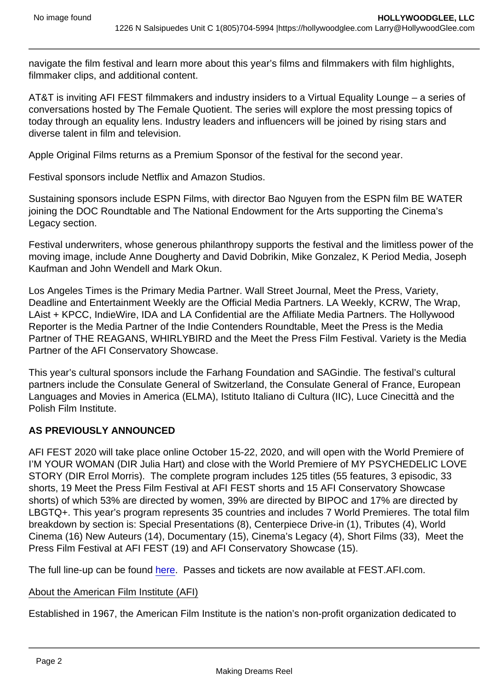navigate the film festival and learn more about this year's films and filmmakers with film highlights, filmmaker clips, and additional content.

AT&T is inviting AFI FEST filmmakers and industry insiders to a Virtual Equality Lounge – a series of conversations hosted by The Female Quotient. The series will explore the most pressing topics of today through an equality lens. Industry leaders and influencers will be joined by rising stars and diverse talent in film and television.

Apple Original Films returns as a Premium Sponsor of the festival for the second year.

Festival sponsors include Netflix and Amazon Studios.

Sustaining sponsors include ESPN Films, with director Bao Nguyen from the ESPN film BE WATER joining the DOC Roundtable and The National Endowment for the Arts supporting the Cinema's Legacy section.

Festival underwriters, whose generous philanthropy supports the festival and the limitless power of the moving image, include Anne Dougherty and David Dobrikin, Mike Gonzalez, K Period Media, Joseph Kaufman and John Wendell and Mark Okun.

Los Angeles Times is the Primary Media Partner. Wall Street Journal, Meet the Press, Variety, Deadline and Entertainment Weekly are the Official Media Partners. LA Weekly, KCRW, The Wrap, LAist + KPCC, IndieWire, IDA and LA Confidential are the Affiliate Media Partners. The Hollywood Reporter is the Media Partner of the Indie Contenders Roundtable, Meet the Press is the Media Partner of THE REAGANS, WHIRLYBIRD and the Meet the Press Film Festival. Variety is the Media Partner of the AFI Conservatory Showcase.

This year's cultural sponsors include the Farhang Foundation and SAGindie. The festival's cultural partners include the Consulate General of Switzerland, the Consulate General of France, European Languages and Movies in America (ELMA), Istituto Italiano di Cultura (IIC), Luce Cinecittà and the Polish Film Institute.

### AS PREVIOUSLY ANNOUNCED

AFI FEST 2020 will take place online October 15-22, 2020, and will open with the World Premiere of I'M YOUR WOMAN (DIR Julia Hart) and close with the World Premiere of MY PSYCHEDELIC LOVE STORY (DIR Errol Morris). The complete program includes 125 titles (55 features, 3 episodic, 33 shorts, 19 Meet the Press Film Festival at AFI FEST shorts and 15 AFI Conservatory Showcase shorts) of which 53% are directed by women, 39% are directed by BIPOC and 17% are directed by LBGTQ+. This year's program represents 35 countries and includes 7 World Premieres. The total film breakdown by section is: Special Presentations (8), Centerpiece Drive-in (1), Tributes (4), World Cinema (16) New Auteurs (14), Documentary (15), Cinema's Legacy (4), Short Films (33), Meet the Press Film Festival at AFI FEST (19) and AFI Conservatory Showcase (15).

The full line-up can be found [here.](https://www.afi.com/news/tag/afi-fest/) Passes and tickets are now available at FEST.AFI.com.

#### About the American Film Institute (AFI)

Established in 1967, the American Film Institute is the nation's non-profit organization dedicated to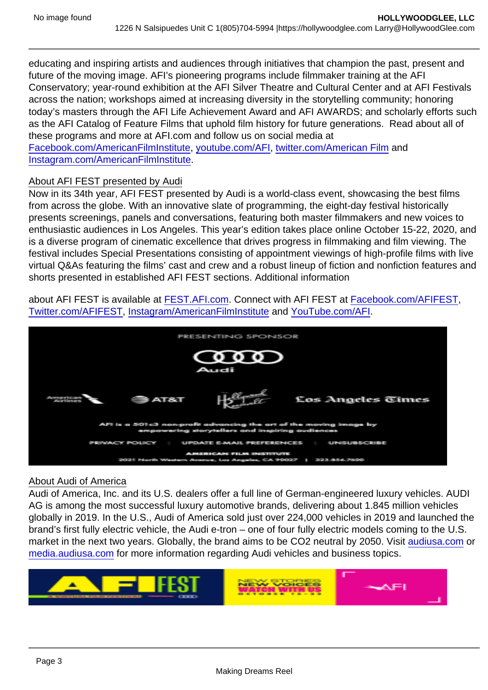educating and inspiring artists and audiences through initiatives that champion the past, present and future of the moving image. AFI's pioneering programs include filmmaker training at the AFI Conservatory; year-round exhibition at the AFI Silver Theatre and Cultural Center and at AFI Festivals across the nation; workshops aimed at increasing diversity in the storytelling community; honoring today's masters through the AFI Life Achievement Award and AFI AWARDS; and scholarly efforts such as the AFI Catalog of Feature Films that uphold film history for future generations. Read about all of these programs and more at AFI.com and follow us on social media at

[Facebook.com/AmericanFilmInstitute](https://www.facebook.com/AmericanFilmInstitute), [youtube.com/AFI,](https://www.youtube.com/afi) [twitter.com/American Film](https://twitter.com/americanfilm) and [Instagram.com/AmericanFilmInstitute](https://www.instagram.com/AmericanFilmInstitute/).

### About AFI FEST presented by Audi

Now in its 34th year, AFI FEST presented by Audi is a world-class event, showcasing the best films from across the globe. With an innovative slate of programming, the eight-day festival historically presents screenings, panels and conversations, featuring both master filmmakers and new voices to enthusiastic audiences in Los Angeles. This year's edition takes place online October 15-22, 2020, and is a diverse program of cinematic excellence that drives progress in filmmaking and film viewing. The festival includes Special Presentations consisting of appointment viewings of high-profile films with live virtual Q&As featuring the films' cast and crew and a robust lineup of fiction and nonfiction features and shorts presented in established AFI FEST sections. Additional information

about AFI FEST is available at [FEST.AFI.com](https://fest.afi.com/). Connect with AFI FEST at [Facebook.com/AFIFEST](https://www.facebook.com/AFIFEST), [Twitter.com/AFIFEST,](https://twitter.com/AFIFEST) [Instagram/AmericanFilmInstitute](https://www.instagram.com/americanfilminstitute/) and [YouTube.com/AFI.](https://www.youtube.com/afi)

### About Audi of America

Audi of America, Inc. and its U.S. dealers offer a full line of German-engineered luxury vehicles. AUDI AG is among the most successful luxury automotive brands, delivering about 1.845 million vehicles globally in 2019. In the U.S., Audi of America sold just over 224,000 vehicles in 2019 and launched the brand's first fully electric vehicle, the Audi e-tron – one of four fully electric models coming to the U.S. market in the next two years. Globally, the brand aims to be CO2 neutral by 2050. Visit [audiusa.com](https://www.audiusa.com/) or [media.audiusa.com](https://media.audiusa.com/) for more information regarding Audi vehicles and business topics.